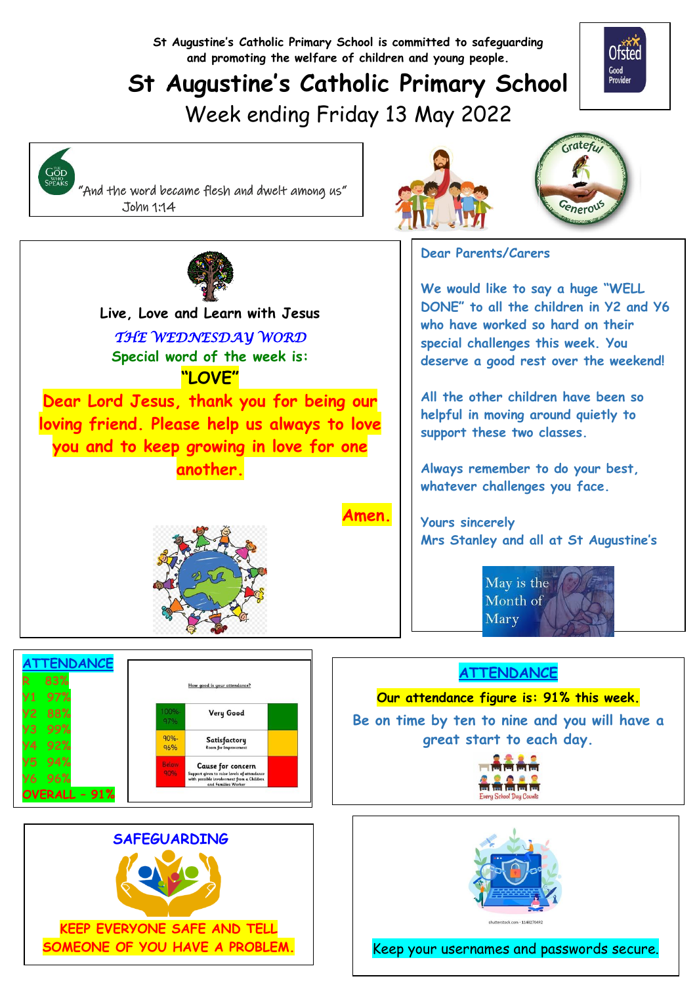**St Augustine's Catholic Primary School is committed to safeguarding and promoting the welfare of children and young people.**

# **St Augustine's Catholic Primary School** Week ending Friday 13 May 2022









  **Live, Love and Learn with Jesus** *THE WEDNESDAY WORD*  **Special word of the week is: "LOVE"**

**Dear Lord Jesus, thank you for being our loving friend. Please help us always to love you and to keep growing in love for one another.** 

**Amen.**

**Dear Parents/Carers**

**We would like to say a huge "WELL DONE" to all the children in Y2 and Y6 who have worked so hard on their special challenges this week. You deserve a good rest over the weekend!**

**All the other children have been so helpful in moving around quietly to support these two classes.**

**Always remember to do your best, whatever challenges you face.**

**Yours sincerely Mrs Stanley and all at St Augustine's**



### **ATTENDANCE**

**Our attendance figure is: 91% this week.**

**Be on time by ten to nine and you will have a great start to each day.**





Keep your usernames and passwords secure.



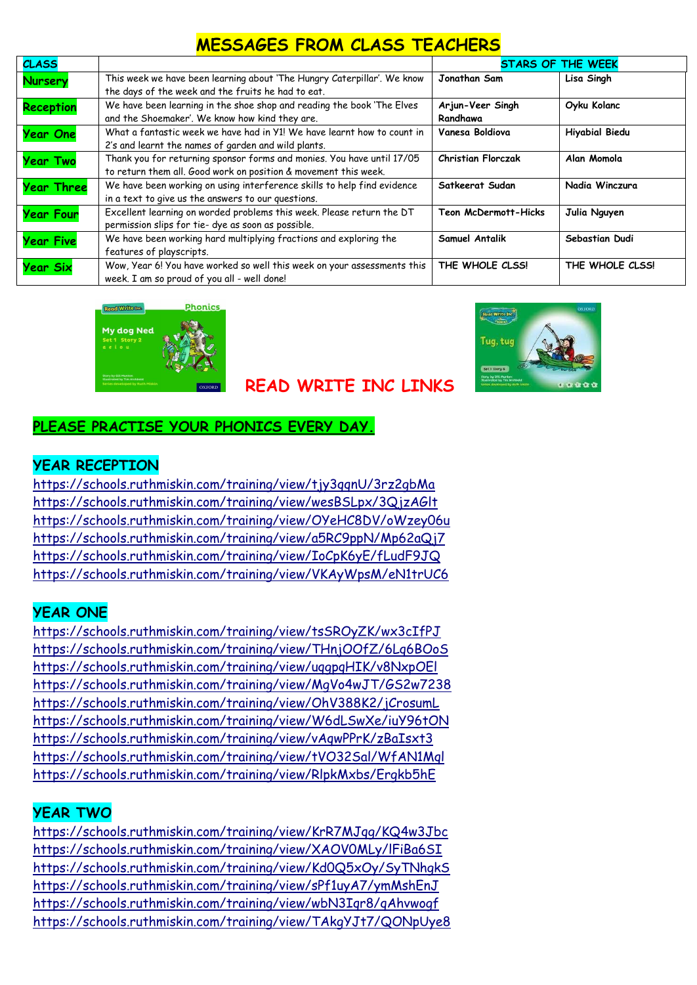# **MESSAGES FROM CLASS TEACHERS**

| <b>CLASS</b>      |                                                                                                                                           | <b>STARS OF THE WEEK</b>     |                       |
|-------------------|-------------------------------------------------------------------------------------------------------------------------------------------|------------------------------|-----------------------|
| Nursery           | This week we have been learning about 'The Hungry Caterpillar'. We know<br>the days of the week and the fruits he had to eat.             | Jonathan Sam                 | Lisa Singh            |
| <b>Reception</b>  | We have been learning in the shoe shop and reading the book 'The Elves<br>and the Shoemaker'. We know how kind they are.                  | Arjun-Veer Singh<br>Randhawa | Oyku Kolanc           |
| <b>Year One</b>   | What a fantastic week we have had in Y1! We have learnt how to count in<br>2's and learnt the names of garden and wild plants.            | Vanesa Boldiova              | <b>Hiyabial Biedu</b> |
| <b>Year Two</b>   | Thank you for returning sponsor forms and monies. You have until 17/05<br>to return them all. Good work on position & movement this week. | <b>Christian Florczak</b>    | Alan Momola           |
| <b>Year Three</b> | We have been working on using interference skills to help find evidence<br>in a text to give us the answers to our questions.             | Satkeerat Sudan              | Nadia Winczura        |
| <b>Year Four</b>  | Excellent learning on worded problems this week. Please return the DT<br>permission slips for tie- dye as soon as possible.               | <b>Teon McDermott-Hicks</b>  | Julia Nguyen          |
| <b>Year Five</b>  | We have been working hard multiplying fractions and exploring the<br>features of playscripts.                                             | Samuel Antalik               | Sebastian Dudi        |
| <b>Year Six</b>   | Wow, Year 6! You have worked so well this week on your assessments this<br>week. I am so proud of you all - well done!                    | THE WHOLE CLSS!              | THE WHOLE CLSS!       |





### **READ WRITE INC LINKS**

#### **PLEASE PRACTISE YOUR PHONICS EVERY DAY.**

#### **YEAR RECEPTION**

https://schools.ruthmiskin.com/training/view/tjy3qqnU/3rz2qbMa <https://schools.ruthmiskin.com/training/view/wesBSLpx/3QjzAGlt> <https://schools.ruthmiskin.com/training/view/OYeHC8DV/oWzey06u> <https://schools.ruthmiskin.com/training/view/a5RC9ppN/Mp62aQj7> <https://schools.ruthmiskin.com/training/view/IoCpK6yE/fLudF9JQ> <https://schools.ruthmiskin.com/training/view/VKAyWpsM/eN1trUC6>

#### **YEAR ONE**

<https://schools.ruthmiskin.com/training/view/tsSROyZK/wx3cIfPJ> <https://schools.ruthmiskin.com/training/view/THnjOOfZ/6Lq6BOoS> <https://schools.ruthmiskin.com/training/view/uqgpqHIK/v8NxpOEl> <https://schools.ruthmiskin.com/training/view/MgVo4wJT/GS2w7238> <https://schools.ruthmiskin.com/training/view/OhV388K2/jCrosumL> <https://schools.ruthmiskin.com/training/view/W6dLSwXe/iuY96tON> <https://schools.ruthmiskin.com/training/view/vAqwPPrK/zBaIsxt3> <https://schools.ruthmiskin.com/training/view/tVO32Sal/WfAN1Mql> <https://schools.ruthmiskin.com/training/view/RlpkMxbs/Ergkb5hE>

#### **YEAR TWO**

<https://schools.ruthmiskin.com/training/view/KrR7MJqg/KQ4w3Jbc> <https://schools.ruthmiskin.com/training/view/XAOV0MLy/lFiBa6SI> <https://schools.ruthmiskin.com/training/view/Kd0Q5xOy/SyTNhgkS> <https://schools.ruthmiskin.com/training/view/sPf1uyA7/ymMshEnJ> <https://schools.ruthmiskin.com/training/view/wbN3Iqr8/qAhvwogf> <https://schools.ruthmiskin.com/training/view/TAkgYJt7/QONpUye8>